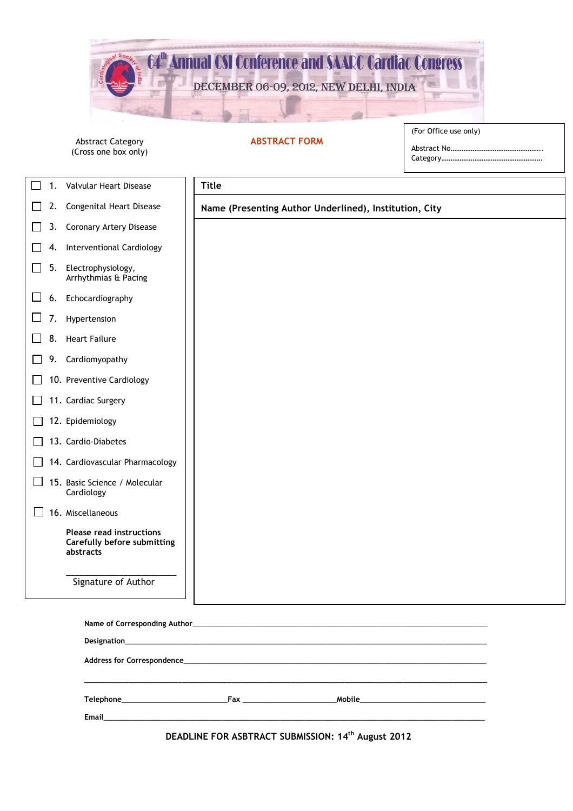

## **ABSTRACT FORM**

Abstract Category (Cross one box only) (For Office use only)

Abstract No ....... Category.

| 1.           | Valvular Heart Disease                                               | <b>Title</b>                                           |  |
|--------------|----------------------------------------------------------------------|--------------------------------------------------------|--|
| 2.           | Congenital Heart Disease                                             | Name (Presenting Author Underlined), Institution, City |  |
| 3.           | <b>Coronary Artery Disease</b>                                       |                                                        |  |
| 4.           | Interventional Cardiology                                            |                                                        |  |
| 5.<br>$\sim$ | Electrophysiology,<br>Arrhythmias & Pacing                           |                                                        |  |
| 6.<br>ப      | Echocardiography                                                     |                                                        |  |
| 7.           | Hypertension                                                         |                                                        |  |
| 8.           | <b>Heart Failure</b>                                                 |                                                        |  |
| 9.           | Cardiomyopathy                                                       |                                                        |  |
|              | 10. Preventive Cardiology                                            |                                                        |  |
|              | 11. Cardiac Surgery                                                  |                                                        |  |
|              | 12. Epidemiology                                                     |                                                        |  |
|              | 13. Cardio-Diabetes                                                  |                                                        |  |
|              | 14. Cardiovascular Pharmacology                                      |                                                        |  |
|              | 15. Basic Science / Molecular<br>Cardiology                          |                                                        |  |
|              | 16. Miscellaneous                                                    |                                                        |  |
|              | Please read instructions<br>Carefully before submitting<br>abstracts |                                                        |  |
|              | Signature of Author                                                  |                                                        |  |
|              |                                                                      |                                                        |  |
|              |                                                                      |                                                        |  |
|              |                                                                      |                                                        |  |
|              |                                                                      |                                                        |  |
|              | Email____                                                            |                                                        |  |

**DEADLINE FOR ASBTRACT SUBMISSION: 14th August 2012**